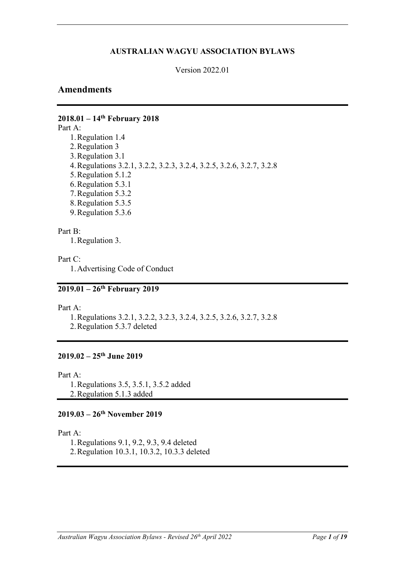# **AUSTRALIAN WAGYU ASSOCIATION BYLAWS**

Version 2022.01

# **Amendments**

# **2018.01 – 14th February 2018**

Part A:

1.Regulation 1.4 2.Regulation 3 3.Regulation 3.1 4.Regulations 3.2.1, 3.2.2, 3.2.3, 3.2.4, 3.2.5, 3.2.6, 3.2.7, 3.2.8 5.Regulation 5.1.2 6.Regulation 5.3.1 7.Regulation 5.3.2 8.Regulation 5.3.5 9.Regulation 5.3.6

## Part B:

1.Regulation 3.

Part C:

1.Advertising Code of Conduct

# **2019.01 – 26th February 2019**

Part A:

1.Regulations 3.2.1, 3.2.2, 3.2.3, 3.2.4, 3.2.5, 3.2.6, 3.2.7, 3.2.8 2.Regulation 5.3.7 deleted

# **2019.02 – 25th June 2019**

Part A:

1.Regulations 3.5, 3.5.1, 3.5.2 added 2.Regulation 5.1.3 added

# **2019.03 – 26th November 2019**

Part A:

1.Regulations 9.1, 9.2, 9.3, 9.4 deleted

2.Regulation 10.3.1, 10.3.2, 10.3.3 deleted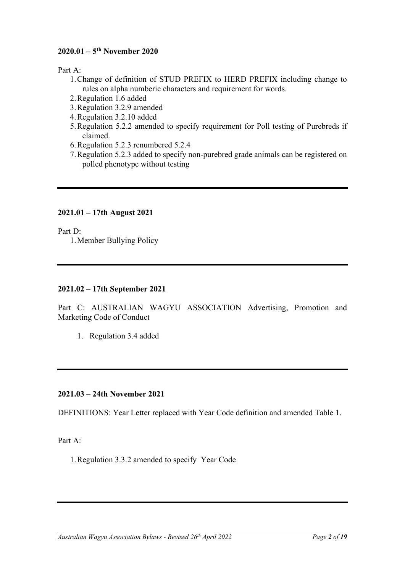# **2020.01 – 5th November 2020**

Part A:

- 1.Change of definition of STUD PREFIX to HERD PREFIX including change to rules on alpha numberic characters and requirement for words.
- 2.Regulation 1.6 added
- 3.Regulation 3.2.9 amended
- 4.Regulation 3.2.10 added
- 5.Regulation 5.2.2 amended to specify requirement for Poll testing of Purebreds if claimed.
- 6.Regulation 5.2.3 renumbered 5.2.4
- 7.Regulation 5.2.3 added to specify non-purebred grade animals can be registered on polled phenotype without testing

# **2021.01 – 17th August 2021**

Part D:

1.Member Bullying Policy

# **2021.02 – 17th September 2021**

Part C: AUSTRALIAN WAGYU ASSOCIATION Advertising, Promotion and Marketing Code of Conduct

1. Regulation 3.4 added

# **2021.03 – 24th November 2021**

DEFINITIONS: Year Letter replaced with Year Code definition and amended Table 1.

Part A:

1.Regulation 3.3.2 amended to specify Year Code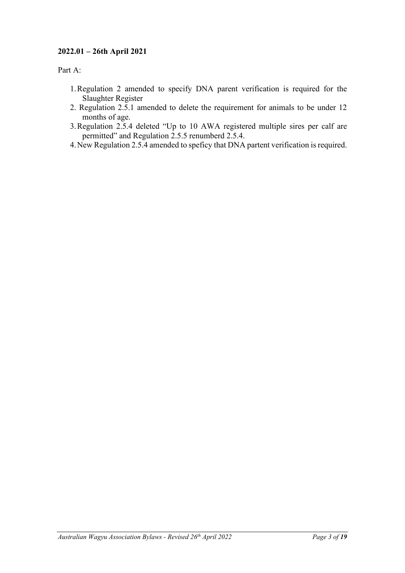# **2022.01 – 26th April 2021**

Part A:

- 1.Regulation 2 amended to specify DNA parent verification is required for the Slaughter Register
- 2. Regulation 2.5.1 amended to delete the requirement for animals to be under 12 months of age.
- 3.Regulation 2.5.4 deleted "Up to 10 AWA registered multiple sires per calf are permitted" and Regulation 2.5.5 renumberd 2.5.4.
- 4.New Regulation 2.5.4 amended to speficy that DNA partent verification is required.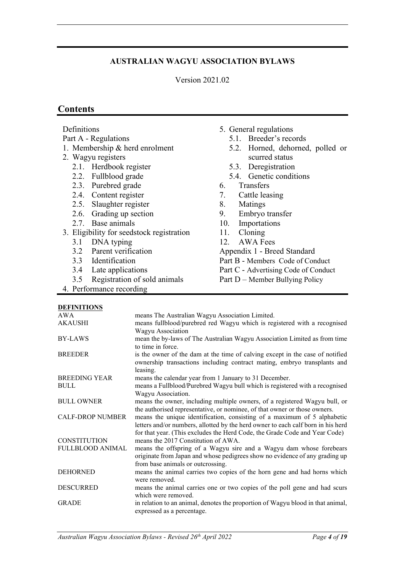# **AUSTRALIAN WAGYU ASSOCIATION BYLAWS**

Version 2021.02

# **Contents**

| Definitions                               |                                                                                                                                                           | 5. General regulations                                 |  |
|-------------------------------------------|-----------------------------------------------------------------------------------------------------------------------------------------------------------|--------------------------------------------------------|--|
| Part A - Regulations                      |                                                                                                                                                           | 5.1. Breeder's records                                 |  |
| 1. Membership & herd enrolment            |                                                                                                                                                           | 5.2. Horned, dehorned, polled or                       |  |
| 2. Wagyu registers                        |                                                                                                                                                           | scurred status                                         |  |
| 2.1. Herdbook register                    |                                                                                                                                                           | 5.3. Deregistration                                    |  |
| 2.2. Fullblood grade                      |                                                                                                                                                           | 5.4. Genetic conditions                                |  |
| 2.3. Purebred grade                       |                                                                                                                                                           | Transfers<br>6.                                        |  |
| 2.4. Content register                     |                                                                                                                                                           | 7.<br>Cattle leasing                                   |  |
| 2.5. Slaughter register                   |                                                                                                                                                           | Matings<br>8.                                          |  |
| 2.6. Grading up section                   |                                                                                                                                                           | Embryo transfer<br>9.                                  |  |
| 2.7. Base animals                         |                                                                                                                                                           | Importations<br>10.                                    |  |
| 3. Eligibility for seedstock registration |                                                                                                                                                           | Cloning<br>11.                                         |  |
| 3.1<br>DNA typing                         |                                                                                                                                                           | <b>AWA Fees</b><br>12.                                 |  |
| 3.2 Parent verification                   |                                                                                                                                                           | Appendix 1 - Breed Standard                            |  |
| 3.3 Identification                        |                                                                                                                                                           | Part B - Members Code of Conduct                       |  |
| Late applications<br>3.4                  |                                                                                                                                                           | Part C - Advertising Code of Conduct                   |  |
| 3.5                                       | Registration of sold animals                                                                                                                              | Part D – Member Bullying Policy                        |  |
| 4. Performance recording                  |                                                                                                                                                           |                                                        |  |
|                                           |                                                                                                                                                           |                                                        |  |
| <b>DEFINITIONS</b>                        |                                                                                                                                                           |                                                        |  |
| AWA<br><b>AKAUSHI</b>                     | means The Australian Wagyu Association Limited.<br>means fullblood/purebred red Wagyu which is registered with a recognised                               |                                                        |  |
|                                           | Wagyu Association                                                                                                                                         |                                                        |  |
| <b>BY-LAWS</b>                            | mean the by-laws of The Australian Wagyu Association Limited as from time                                                                                 |                                                        |  |
|                                           | to time in force.                                                                                                                                         |                                                        |  |
| <b>BREEDER</b>                            | is the owner of the dam at the time of calving except in the case of notified<br>ownership transactions including contract mating, embryo transplants and |                                                        |  |
| leasing.<br><b>BREEDING YEAR</b>          |                                                                                                                                                           | means the calendar year from 1 January to 31 December. |  |

BULL means a Fullblood/Purebred Wagyu bull which is registered with a recognised Wagyu Association.

BULL OWNER means the owner, including multiple owners, of a registered Wagyu bull, or the authorised representative, or nominee, of that owner or those owners.

CALF-DROP NUMBER means the unique identification, consisting of a maximum of 5 alphabetic letters and/or numbers, allotted by the herd owner to each calf born in his herd for that year. (This excludes the Herd Code, the Grade Code and Year Code) CONSTITUTION means the 2017 Constitution of AWA.

FULLBLOOD ANIMAL means the offspring of a Wagyu sire and a Wagyu dam whose forebears originate from Japan and whose pedigrees show no evidence of any grading up from base animals or outcrossing.

DEHORNED means the animal carries two copies of the horn gene and had horns which were removed.

DESCURRED means the animal carries one or two copies of the poll gene and had scurs which were removed.

GRADE in relation to an animal, denotes the proportion of Wagyu blood in that animal, expressed as a percentage.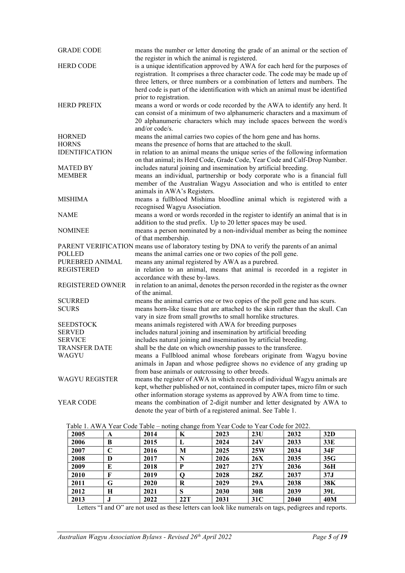| <b>GRADE CODE</b>       | means the number or letter denoting the grade of an animal or the section of<br>the register in which the animal is registered.                                                                                                                                                                                                  |
|-------------------------|----------------------------------------------------------------------------------------------------------------------------------------------------------------------------------------------------------------------------------------------------------------------------------------------------------------------------------|
| <b>HERD CODE</b>        | is a unique identification approved by AWA for each herd for the purposes of<br>registration. It comprises a three character code. The code may be made up of<br>three letters, or three numbers or a combination of letters and numbers. The<br>herd code is part of the identification with which an animal must be identified |
| <b>HERD PREFIX</b>      | prior to registration.<br>means a word or words or code recorded by the AWA to identify any herd. It<br>can consist of a minimum of two alphanumeric characters and a maximum of<br>20 alphanumeric characters which may include spaces between the word/s<br>and/or code/s.                                                     |
| <b>HORNED</b>           | means the animal carries two copies of the horn gene and has horns.                                                                                                                                                                                                                                                              |
| <b>HORNS</b>            | means the presence of horns that are attached to the skull.                                                                                                                                                                                                                                                                      |
| <b>IDENTIFICATION</b>   | in relation to an animal means the unique series of the following information                                                                                                                                                                                                                                                    |
|                         | on that animal; its Herd Code, Grade Code, Year Code and Calf-Drop Number.                                                                                                                                                                                                                                                       |
| <b>MATED BY</b>         | includes natural joining and insemination by artificial breeding.                                                                                                                                                                                                                                                                |
| <b>MEMBER</b>           | means an individual, partnership or body corporate who is a financial full                                                                                                                                                                                                                                                       |
|                         | member of the Australian Wagyu Association and who is entitled to enter                                                                                                                                                                                                                                                          |
|                         | animals in AWA's Registers.                                                                                                                                                                                                                                                                                                      |
| <b>MISHIMA</b>          | means a fullblood Mishima bloodline animal which is registered with a                                                                                                                                                                                                                                                            |
|                         | recognised Wagyu Association.                                                                                                                                                                                                                                                                                                    |
| <b>NAME</b>             | means a word or words recorded in the register to identify an animal that is in                                                                                                                                                                                                                                                  |
|                         | addition to the stud prefix. Up to 20 letter spaces may be used.                                                                                                                                                                                                                                                                 |
| <b>NOMINEE</b>          | means a person nominated by a non-individual member as being the nominee                                                                                                                                                                                                                                                         |
|                         | of that membership.                                                                                                                                                                                                                                                                                                              |
|                         | PARENT VERIFICATION means use of laboratory testing by DNA to verify the parents of an animal                                                                                                                                                                                                                                    |
| POLLED                  | means the animal carries one or two copies of the poll gene.                                                                                                                                                                                                                                                                     |
| PUREBRED ANIMAL         | means any animal registered by AWA as a purebred.                                                                                                                                                                                                                                                                                |
| <b>REGISTERED</b>       | in relation to an animal, means that animal is recorded in a register in<br>accordance with these by-laws.                                                                                                                                                                                                                       |
| <b>REGISTERED OWNER</b> | in relation to an animal, denotes the person recorded in the register as the owner<br>of the animal.                                                                                                                                                                                                                             |
| <b>SCURRED</b>          | means the animal carries one or two copies of the poll gene and has scurs.                                                                                                                                                                                                                                                       |
| <b>SCURS</b>            | means horn-like tissue that are attached to the skin rather than the skull. Can                                                                                                                                                                                                                                                  |
|                         | vary in size from small growths to small hornlike structures.                                                                                                                                                                                                                                                                    |
| <b>SEEDSTOCK</b>        | means animals registered with AWA for breeding purposes                                                                                                                                                                                                                                                                          |
| <b>SERVED</b>           | includes natural joining and insemination by artificial breeding                                                                                                                                                                                                                                                                 |
| <b>SERVICE</b>          | includes natural joining and insemination by artificial breeding.                                                                                                                                                                                                                                                                |
| <b>TRANSFER DATE</b>    | shall be the date on which ownership passes to the transferee.                                                                                                                                                                                                                                                                   |
| WAGYU                   | means a Fullblood animal whose forebears originate from Wagyu bovine                                                                                                                                                                                                                                                             |
|                         | animals in Japan and whose pedigree shows no evidence of any grading up                                                                                                                                                                                                                                                          |
|                         | from base animals or outcrossing to other breeds.                                                                                                                                                                                                                                                                                |
| <b>WAGYU REGISTER</b>   | means the register of AWA in which records of individual Wagyu animals are                                                                                                                                                                                                                                                       |
|                         | kept, whether published or not, contained in computer tapes, micro film or such                                                                                                                                                                                                                                                  |
|                         | other information storage systems as approved by AWA from time to time.                                                                                                                                                                                                                                                          |
| <b>YEAR CODE</b>        | means the combination of 2-digit number and letter designated by AWA to                                                                                                                                                                                                                                                          |
|                         | denote the year of birth of a registered animal. See Table 1.                                                                                                                                                                                                                                                                    |
|                         |                                                                                                                                                                                                                                                                                                                                  |

|      | Table 1. A WA Teat Code Table – houng change from Teat Code to Teat Code for $2022$ . |      |     |      |                 |      |     |  |
|------|---------------------------------------------------------------------------------------|------|-----|------|-----------------|------|-----|--|
| 2005 | A                                                                                     | 2014 | K   | 2023 | 23U             | 2032 | 32D |  |
| 2006 | B                                                                                     | 2015 | L   | 2024 | 24V             | 2033 | 33E |  |
| 2007 | C                                                                                     | 2016 | M   | 2025 | 25W             | 2034 | 34F |  |
| 2008 | D                                                                                     | 2017 | N   | 2026 | <b>26X</b>      | 2035 | 35G |  |
| 2009 | E                                                                                     | 2018 | P   | 2027 | 27Y             | 2036 | 36H |  |
| 2010 | F                                                                                     | 2019 | O   | 2028 | 28Z             | 2037 | 37J |  |
| 2011 | G                                                                                     | 2020 | R   | 2029 | 29A             | 2038 | 38K |  |
| 2012 | Н                                                                                     | 2021 | S   | 2030 | 30B             | 2039 | 39L |  |
| 2013 | .,                                                                                    | 2022 | 22T | 2031 | 31 <sup>C</sup> | 2040 | 40M |  |

Table 1. AWA Year Code Table – noting change from Year Code to Year Code for 2022.

Letters "I and O" are not used as these letters can look like numerals on tags, pedigrees and reports.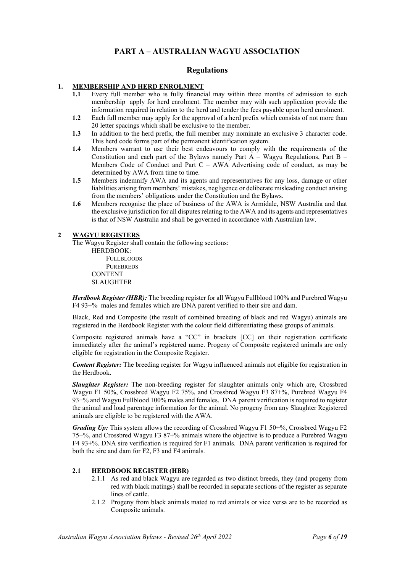# **PART A – AUSTRALIAN WAGYU ASSOCIATION**

#### **Regulations**

# **1. MEMBERSHIP AND HERD ENROLMENT**<br>**1.1** Every full member who is fully financi

- Every full member who is fully financial may within three months of admission to such membership apply for herd enrolment. The member may with such application provide the information required in relation to the herd and tender the fees payable upon herd enrolment.
- **1.2** Each full member may apply for the approval of a herd prefix which consists of not more than 20 letter spacings which shall be exclusive to the member.
- **1.3** In addition to the herd prefix, the full member may nominate an exclusive 3 character code. This herd code forms part of the permanent identification system.
- **1.4** Members warrant to use their best endeavours to comply with the requirements of the Constitution and each part of the Bylaws namely Part A – Wagyu Regulations, Part B – Members Code of Conduct and Part  $C - AWA$  Advertising code of conduct, as may be determined by AWA from time to time.
- **1.5** Members indemnify AWA and its agents and representatives for any loss, damage or other liabilities arising from members' mistakes, negligence or deliberate misleading conduct arising from the members' obligations under the Constitution and the Bylaws.
- **1.6** Members recognise the place of business of the AWA is Armidale, NSW Australia and that the exclusive jurisdiction for all disputes relating to the AWA and its agents and representatives is that of NSW Australia and shall be governed in accordance with Australian law.

#### **2 WAGYU REGISTERS**

The Wagyu Register shall contain the following sections:

HERDBOOK: FULLBLOODS **PUREBREDS CONTENT** SLAUGHTER

*Herdbook Register (HBR):* The breeding register for all Wagyu Fullblood 100% and Purebred Wagyu F4 93+% males and females which are DNA parent verified to their sire and dam.

Black, Red and Composite (the result of combined breeding of black and red Wagyu) animals are registered in the Herdbook Register with the colour field differentiating these groups of animals.

Composite registered animals have a "CC" in brackets [CC] on their registration certificate immediately after the animal's registered name. Progeny of Composite registered animals are only eligible for registration in the Composite Register.

*Content Register:* The breeding register for Wagyu influenced animals not eligible for registration in the Herdbook.

*Slaughter Register:* The non-breeding register for slaughter animals only which are, Crossbred Wagyu F1 50%, Crossbred Wagyu F2 75%, and Crossbred Wagyu F3 87+%, Purebred Wagyu F4 93+% and Wagyu Fullblood 100% males and females. DNA parent verification is required to register the animal and load parentage information for the animal. No progeny from any Slaughter Registered animals are eligible to be registered with the AWA.

*Grading Up*: This system allows the recording of Crossbred Wagyu F1 50+%, Crossbred Wagyu F2 75+%, and Crossbred Wagyu F3 87+% animals where the objective is to produce a Purebred Wagyu F4 93+%. DNA sire verification is required for F1 animals. DNA parent verification is required for both the sire and dam for F2, F3 and F4 animals.

#### **2.1 HERDBOOK REGISTER (HBR)**

- 2.1.1 As red and black Wagyu are regarded as two distinct breeds, they (and progeny from red with black matings) shall be recorded in separate sections of the register as separate lines of cattle.
- 2.1.2 Progeny from black animals mated to red animals or vice versa are to be recorded as Composite animals.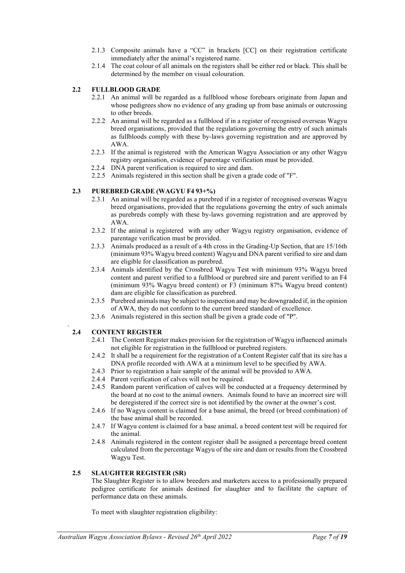- 2.1.3 Composite animals have a "CC" in brackets [CC] on their registration certificate immediately after the animal's registered name.
- 2.1.4 The coat colour of all animals on the registers shall be either red or black. This shall be determined by the member on visual colouration.

#### **2.2 FULLBLOOD GRADE**

- 2.2.1 An animal will be regarded as a fullblood whose forebears originate from Japan and whose pedigrees show no evidence of any grading up from base animals or outcrossing to other breeds.
- 2.2.2 An animal will be regarded as a fullblood if in a register of recognised overseas Wagyu breed organisations, provided that the regulations governing the entry of such animals as fullbloods comply with these by-laws governing registration and are approved by AWA.
- 2.2.3 If the animal is registered with the American Wagyu Association or any other Wagyu registry organisation, evidence of parentage verification must be provided.
- 2.2.4 DNA parent verification is required to sire and dam.
- 2.2.5 Animals registered in this section shall be given a grade code of "F".

#### **2.3 PUREBRED GRADE (WAGYU F4 93+%)**

- 2.3.1 An animal will be regarded as a purebred if in a register of recognised overseas Wagyu breed organisations, provided that the regulations governing the entry of such animals as purebreds comply with these by-laws governing registration and are approved by AWA.
- 2.3.2 If the animal is registered with any other Wagyu registry organisation, evidence of parentage verification must be provided.
- 2.3.3 Animals produced as a result of a 4th cross in the Grading-Up Section, that are 15/16th (minimum 93% Wagyu breed content) Wagyu and DNA parent verified to sire and dam are eligible for classification as purebred.
- 2.3.4 Animals identified by the Crossbred Wagyu Test with minimum 93% Wagyu breed content and parent verified to a fullblood or purebred sire and parent verified to an F4 (minimum 93% Wagyu breed content) or F3 (minimum 87% Wagyu breed content) dam are eligible for classification as purebred.
- 2.3.5 Purebred animals may be subject to inspection and may be downgraded if, in the opinion of AWA, they do not conform to the current breed standard of excellence.
- 2.3.6 Animals registered in this section shall be given a grade code of "P".

#### . **2.4 CONTENT REGISTER**

- 2.4.1 The Content Register makes provision for the registration of Wagyu influenced animals not eligible for registration in the fullblood or purebred registers.
- 2.4.2 It shall be a requirement for the registration of a Content Register calf that its sire has a DNA profile recorded with AWA at a minimum level to be specified by AWA.
- 2.4.3 Prior to registration a hair sample of the animal will be provided to AWA.
- 2.4.4 Parent verification of calves will not be required.
- 2.4.5 Random parent verification of calves will be conducted at a frequency determined by the board at no cost to the animal owners. Animals found to have an incorrect sire will be deregistered if the correct sire is not identified by the owner at the owner's cost.
- 2.4.6 If no Wagyu content is claimed for a base animal, the breed (or breed combination) of the base animal shall be recorded.
- 2.4.7 If Wagyu content is claimed for a base animal, a breed content test will be required for the animal.
- 2.4.8 Animals registered in the content register shall be assigned a percentage breed content calculated from the percentage Wagyu of the sire and dam or results from the Crossbred Wagyu Test.

#### **2.5 SLAUGHTER REGISTER (SR)**

The Slaughter Register is to allow breeders and marketers access to a professionally prepared pedigree certificate for animals destined for slaughter and to facilitate the capture of performance data on these animals.

To meet with slaughter registration eligibility: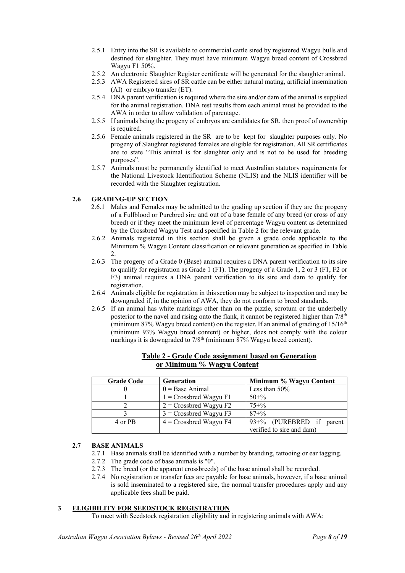- 2.5.1 Entry into the SR is available to commercial cattle sired by registered Wagyu bulls and destined for slaughter. They must have minimum Wagyu breed content of Crossbred Wagyu F1 50%.
- 2.5.2 An electronic Slaughter Register certificate will be generated for the slaughter animal.
- 2.5.3 AWA Registered sires of SR cattle can be either natural mating, artificial insemination (AI) or embryo transfer (ET).
- 2.5.4 DNA parent verification is required where the sire and/or dam of the animal is supplied for the animal registration. DNA test results from each animal must be provided to the AWA in order to allow validation of parentage.
- 2.5.5 If animals being the progeny of embryos are candidates for SR, then proof of ownership is required.
- 2.5.6 Female animals registered in the SR are to be kept for slaughter purposes only. No progeny of Slaughter registered females are eligible for registration. All SR certificates are to state "This animal is for slaughter only and is not to be used for breeding purposes".
- 2.5.7 Animals must be permanently identified to meet Australian statutory requirements for the National Livestock Identification Scheme (NLIS) and the NLIS identifier will be recorded with the Slaughter registration.

#### **2.6 GRADING-UP SECTION**

- 2.6.1 Males and Females may be admitted to the grading up section if they are the progeny of a Fullblood or Purebred sire and out of a base female of any breed (or cross of any breed) or if they meet the minimum level of percentage Wagyu content as determined by the Crossbred Wagyu Test and specified in Table 2 for the relevant grade.
- 2.6.2 Animals registered in this section shall be given a grade code applicable to the Minimum % Wagyu Content classification or relevant generation as specified in Table 2.
- 2.6.3 The progeny of a Grade 0 (Base) animal requires a DNA parent verification to its sire to qualify for registration as Grade 1 (F1). The progeny of a Grade 1, 2 or 3 (F1, F2 or F3) animal requires a DNA parent verification to its sire and dam to qualify for registration.
- 2.6.4 Animals eligible for registration in thissection may be subject to inspection and may be downgraded if, in the opinion of AWA, they do not conform to breed standards.
- 2.6.5 If an animal has white markings other than on the pizzle, scrotum or the underbelly posterior to the navel and rising onto the flank, it cannot be registered higher than 7/8<sup>th</sup> (minimum 87% Wagyu breed content) on the register. If an animal of grading of  $15/16<sup>th</sup>$ (minimum 93% Wagyu breed content) or higher, does not comply with the colour markings it is downgraded to  $7/8<sup>th</sup>$  (minimum  $87%$  Wagyu breed content).

| <b>Grade Code</b> | Generation               | Minimum % Wagyu Content   |
|-------------------|--------------------------|---------------------------|
|                   | $0 = Base Animal$        | Less than $50\%$          |
|                   | $1 =$ Crossbred Wagyu F1 | $50 + \%$                 |
|                   | $2$ = Crossbred Wagyu F2 | $75 + \%$                 |
|                   | $3$ = Crossbred Wagyu F3 | $87 + \%$                 |
| 4 or PB           | $4$ = Crossbred Wagyu F4 | 93+% (PUREBRED if parent  |
|                   |                          | verified to sire and dam) |

#### **Table 2 - Grade Code assignment based on Generation or Minimum % Wagyu Content**

#### **2.7 BASE ANIMALS**

- 2.7.1 Base animals shall be identified with a number by branding, tattooing or ear tagging.
- 2.7.2 The grade code of base animals is "0".
- 2.7.3 The breed (or the apparent crossbreeds) of the base animal shall be recorded.
- 2.7.4 No registration or transfer fees are payable for base animals, however, if a base animal is sold inseminated to a registered sire, the normal transfer procedures apply and any applicable fees shall be paid.

#### **3 ELIGIBILITY FOR SEEDSTOCK REGISTRATION**

To meet with Seedstock registration eligibility and in registering animals with AWA: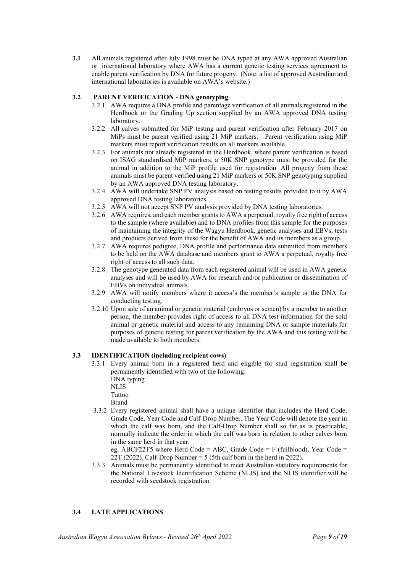**3.1** All animals registered after July 1998 must be DNA typed at any AWA approved Australian or international laboratory where AWA has a current genetic testing services agreement to enable parent verification by DNA for future progeny. (Note: a list of approved Australian and international laboratories is available on AWA's website.)

#### **3.2 PARENT VERIFICATION - DNA genotyping**

- 3.2.1 AWA requires a DNA profile and parentage verification of all animals registered in the Herdbook or the Grading Up section supplied by an AWA approved DNA testing laboratory.
- 3.2.2 All calves submitted for MiP testing and parent verification after February 2017 on MiPs must be parent verified using 21 MiP markers. Parent verification using MiP markers must report verification results on all markers available.
- 3.2.3 For animals not already registered in the Herdbook, where parent verification is based on ISAG standardised MiP markers, a 50K SNP genotype must be provided for the animal in addition to the MiP profile used for registration. All progeny from these animals must be parent verified using 21 MiP markers or 50K SNP genotyping supplied by an AWA approved DNA testing laboratory.
- 3.2.4 AWA will undertake SNP PV analysis based on testing results provided to it by AWA approved DNA testing laboratories.
- 3.2.5 AWA will not accept SNP PV analysis provided by DNA testing laboratories.
- 3.2.6 AWA requires, and each member grants to AWA a perpetual, royalty free right of access to the sample (where available) and to DNA profiles from this sample for the purposes of maintaining the integrity of the Wagyu Herdbook, genetic analyses and EBVs, tests and products derived from these for the benefit of AWA and its members as a group.
- 3.2.7 AWA requires pedigree, DNA profile and performance data submitted from members to be held on the AWA database and members grant to AWA a perpetual, royalty free right of access to all such data.
- 3.2.8 The genotype generated data from each registered animal will be used in AWA genetic analyses and will be used by AWA for research and/or publication or dissemination of EBVs on individual animals.
- 3.2.9 AWA will notify members where it access's the member's sample or the DNA for conducting testing.
- 3.2.10 Upon sale of an animal or genetic material (embryos or semen) by a member to another person, the member provides right of access to all DNA test information for the sold animal or genetic material and access to any remaining DNA or sample materials for purposes of genetic testing for parent verification by the AWA and this testing will be made available to both members.

#### **3.3 IDENTIFICATION (including recipient cows)**

- 3.3.1 Every animal born in a registered herd and eligible for stud registration shall be permanently identified with two of the following:
	- DNA typing NLIS Tattoo

Brand

3.3.2 Every registered animal shall have a unique identifier that includes the Herd Code, Grade Code, Year Code and Calf-Drop Number. The Year Code will denote the year in which the calf was born, and the Calf-Drop Number shall so far as is practicable, normally indicate the order in which the calf was born in relation to other calves born in the same herd in that year.

eg. ABCF22T5 where Herd Code = ABC, Grade Code = F (fullblood), Year Code =  $22T$  (2022), Calf-Drop Number = 5 (5th calf born in the herd in 2022).

3.3.3 Animals must be permanently identified to meet Australian statutory requirements for the National Livestock Identification Scheme (NLIS) and the NLIS identifier will be recorded with seedstock registration.

#### **3.4 LATE APPLICATIONS**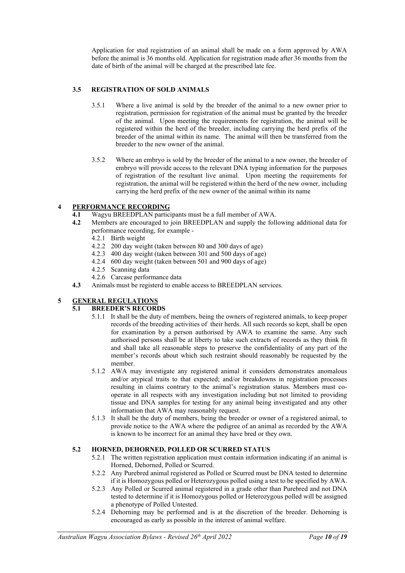Application for stud registration of an animal shall be made on a form approved by AWA before the animal is 36 months old. Application for registration made after 36 months from the date of birth of the animal will be charged at the prescribed late fee.

#### **3.5 REGISTRATION OF SOLD ANIMALS**

- 3.5.1 Where a live animal is sold by the breeder of the animal to a new owner prior to registration, permission for registration of the animal must be granted by the breeder of the animal. Upon meeting the requirements for registration, the animal will be registered within the herd of the breeder, including carrying the herd prefix of the breeder of the animal within its name. The animal will then be transferred from the breeder to the new owner of the animal.
- 3.5.2 Where an embryo is sold by the breeder of the animal to a new owner, the breeder of embryo will provide access to the relevant DNA typing information for the purposes of registration of the resultant live animal. Upon meeting the requirements for registration, the animal will be registered within the herd of the new owner, including carrying the herd prefix of the new owner of the animal within its name

# **4 PERFORMANCE RECORDING**<br>**4.1** Wagyu BREEDPLAN partici

- **4.1** Wagyu BREEDPLAN participants must be a full member of AWA.<br>**4.2** Members are encouraged to join BREEDPLAN and supply the foll
- **4.2** Members are encouraged to join BREEDPLAN and supply the following additional data for performance recording, for example -
	- 4.2.1 Birth weight
	- 4.2.2 200 day weight (taken between 80 and 300 days of age)
	- 4.2.3 400 day weight (taken between 301 and 500 days of age)
	- 4.2.4 600 day weight (taken between 501 and 900 days of age)
	- 4.2.5 Scanning data
	- 4.2.6 Carcase performance data
- **4.3** Animals must be registerd to enable access to BREEDPLAN services.

## **5 GENERAL REGULATIONS**

# **5.1 BREEDER'S RECORDS**

- 5.1.1 It shall be the duty of members, being the owners of registered animals, to keep proper records of the breeding activities of their herds. All such records so kept, shall be open for examination by a person authorised by AWA to examine the same. Any such authorised persons shall be at liberty to take such extracts of records as they think fit and shall take all reasonable steps to preserve the confidentiality of any part of the member's records about which such restraint should reasonably be requested by the member.
- 5.1.2 AWA may investigate any registered animal it considers demonstrates anomalous and/or atypical traits to that expected; and/or breakdowns in registration processes resulting in claims contrary to the animal's registration status. Members must cooperate in all respects with any investigation including but not limited to providing tissue and DNA samples for testing for any animal being investigated and any other information that AWA may reasonably request.
- 5.1.3 It shall be the duty of members, being the breeder or owner of a registered animal, to provide notice to the AWA where the pedigree of an animal as recorded by the AWA is known to be incorrect for an animal they have bred or they own.

#### **5.2 HORNED, DEHORNED, POLLED OR SCURRED STATUS**

- 5.2.1 The written registration application must contain information indicating if an animal is Horned, Dehorned, Polled or Scurred.
- 5.2.2 Any Purebred animal registered as Polled or Scurred must be DNA tested to determine if it is Homozygous polled or Heterozygous polled using a test to be specified by AWA.
- 5.2.3 Any Polled or Scurred animal registered in a grade other than Purebred and not DNA tested to determine if it is Homozygous polled or Heterozygous polled will be assigned a phenotype of Polled Untested.
- 5.2.4 Dehorning may be performed and is at the discretion of the breeder. Dehorning is encouraged as early as possible in the interest of animal welfare.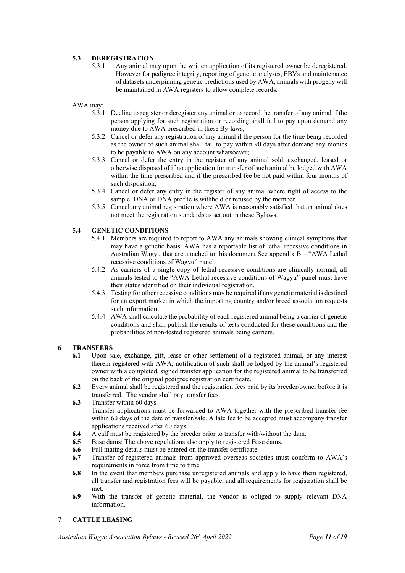#### **5.3 DEREGISTRATION**

5.3.1 Any animal may upon the written application of its registered owner be deregistered. However for pedigree integrity, reporting of genetic analyses, EBVs and maintenance of datasets underpinning genetic predictions used by AWA, animals with progeny will be maintained in AWA registers to allow complete records.

AWA may:

- 5.3.1 Decline to register or deregister any animal or to record the transfer of any animal if the person applying for such registration or recording shall fail to pay upon demand any money due to AWA prescribed in these By-laws;
- 5.3.2 Cancel or defer any registration of any animal if the person for the time being recorded as the owner of such animal shall fail to pay within 90 days after demand any monies to be payable to AWA on any account whatsoever;
- 5.3.3 Cancel or defer the entry in the register of any animal sold, exchanged, leased or otherwise disposed of if no application for transfer of such animal be lodged with AWA within the time prescribed and if the prescribed fee be not paid within four months of such disposition;
- 5.3.4 Cancel or defer any entry in the register of any animal where right of access to the sample, DNA or DNA profile is withheld or refused by the member.
- 5.3.5 Cancel any animal registration where AWA is reasonably satisfied that an animal does not meet the registration standards as set out in these Bylaws.

#### **5.4 GENETIC CONDITIONS**

- 5.4.1 Members are required to report to AWA any animals showing clinical symptoms that may have a genetic basis. AWA has a reportable list of lethal recessive conditions in Australian Wagyu that are attached to this document See appendix B – "AWA Lethal recessive conditions of Wagyu" panel.
- 5.4.2 As carriers of a single copy of lethal recessive conditions are clinically normal, all animals tested to the "AWA Lethal recessive conditions of Wagyu" panel must have their status identified on their individual registration.
- 5.4.3 Testing for other recessive conditions may be required if any genetic material is destined for an export market in which the importing country and/or breed association requests such information.
- 5.4.4 AWA shall calculate the probability of each registered animal being a carrier of genetic conditions and shall publish the results of tests conducted for these conditions and the probabilities of non-tested registered animals being carriers.

#### **6 TRANSFERS**

- **6.1** Upon sale, exchange, gift, lease or other settlement of a registered animal, or any interest therein registered with AWA, notification of such shall be lodged by the animal's registered owner with a completed, signed transfer application for the registered animal to be transferred on the back of the original pedigree registration certificate.
- **6.2** Every animal shall be registered and the registration fees paid by its breeder/owner before it is transferred. The vendor shall pay transfer fees.
- **6.3** Transfer within 60 days Transfer applications must be forwarded to AWA together with the prescribed transfer fee within 60 days of the date of transfer/sale. A late fee to be accepted must accompany transfer applications received after 60 days.
- **6.4** A calf must be registered by the breeder prior to transfer with/without the dam.
- **6.5** Base dams: The above regulations also apply to registered Base dams.
- **6.6** Full mating details must be entered on the transfer certificate.
- **6.7** Transfer of registered animals from approved overseas societies must conform to AWA's requirements in force from time to time.
- **6.8** In the event that members purchase unregistered animals and apply to have them registered, all transfer and registration fees will be payable, and all requirements for registration shall be met.
- **6.9** With the transfer of genetic material, the vendor is obliged to supply relevant DNA information.

#### **7 CATTLE LEASING**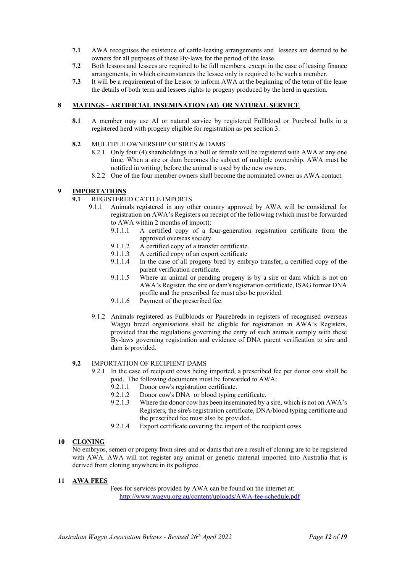- **7.1** AWA recognises the existence of cattle-leasing arrangements and lessees are deemed to be owners for all purposes of these By-laws for the period of the lease.
- **7.2** Both lessors and lessees are required to be full members, except in the case of leasing finance arrangements, in which circumstances the lessee only is required to be such a member.
- **7.3** It will be a requirement of the Lessor to inform AWA at the beginning of the term of the lease the details of both term and lessees rights to progeny produced by the herd in question.

#### **8 MATINGS - ARTIFICIAL INSEMINATION (AI) OR NATURAL SERVICE**

- **8.1** A member may use AI or natural service by registered Fullblood or Purebred bulls in a registered herd with progeny eligible for registration as per section 3.
- **8.2** MULTIPLE OWNERSHIP OF SIRES & DAMS
	- 8.2.1 Only four (4) shareholdings in a bull or female will be registered with AWA at any one time. When a sire or dam becomes the subject of multiple ownership, AWA must be notified in writing, before the animal is used by the new owners.
	- 8.2.2 One of the four member owners shall become the nominated owner as AWA contact.

# **9 IMPORTATIONS**

- **9.1** REGISTERED CATTLE IMPORTS
	- 9.1.1 Animals registered in any other country approved by AWA will be considered for registration on AWA's Registers on receipt of the following (which must be forwarded to AWA within 2 months of import):<br>9.1.1.1 A certified copy of a f
		- 9.1.1.1 A certified copy of a four-generation registration certificate from the approved overseas society.
		- 9.1.1.2 A certified copy of a transfer certificate.
		- 9.1.1.3 A certified copy of an export certificate
		- 9.1.1.4 In the case of all progeny bred by embryo transfer, a certified copy of the parent verification certificate.
		- 9.1.1.5 Where an animal or pending progeny is by a sire or dam which is not on AWA's Register, the sire or dam's registration certificate, ISAG format DNA profile and the prescribed fee must also be provided.
		- 9.1.1.6 Payment of the prescribed fee.
	- 9.1.2 Animals registered as Fullbloods or Ppurebreds in registers of recognised overseas Wagyu breed organisations shall be eligible for registration in AWA's Registers, provided that the regulations governing the entry of such animals comply with these By-laws governing registration and evidence of DNA parent verification to sire and dam is provided.

#### **9.2** IMPORTATION OF RECIPIENT DAMS

- 9.2.1 In the case of recipient cows being imported, a prescribed fee per donor cow shall be paid. The following documents must be forwarded to AWA:
	- 9.2.1.1 Donor cow's registration certificate.
	- 9.2.1.2 Donor cow's DNA or blood typing certificate.
	- 9.2.1.3 Where the donor cow has been inseminated by a sire, which is not on AWA's Registers, the sire's registration certificate, DNA/blood typing certificate and the prescribed fee must also be provided.
	- 9.2.1.4 Export certificate covering the import of the recipient cows.

#### **10 CLONING**

No embryos, semen or progeny from sires and or dams that are a result of cloning are to be registered with AWA. AWA will not register any animal or genetic material imported into Australia that is derived from cloning anywhere in its pedigree.

#### **11 AWA FEES**

Fees for services provided by AWA can be found on the internet at: <http://www.wagyu.org.au/content/uploads/AWA-fee-schedule.pdf>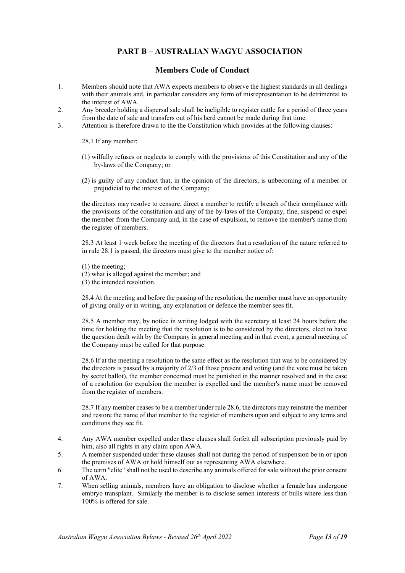# **PART B – AUSTRALIAN WAGYU ASSOCIATION**

## **Members Code of Conduct**

- 1. Members should note that AWA expects members to observe the highest standards in all dealings with their animals and, in particular considers any form of misrepresentation to be detrimental to the interest of AWA.
- 2. Any breeder holding a dispersal sale shall be ineligible to register cattle for a period of three years from the date of sale and transfers out of his herd cannot be made during that time.
- 3. Attention is therefore drawn to the the Constitution which provides at the following clauses:

28.1 If any member:

- (1) wilfully refuses or neglects to comply with the provisions of this Constitution and any of the by-laws of the Company; or
- (2) is guilty of any conduct that, in the opinion of the directors, is unbecoming of a member or prejudicial to the interest of the Company;

the directors may resolve to censure, direct a member to rectify a breach of their compliance with the provisions of the constitution and any of the by-laws of the Company, fine, suspend or expel the member from the Company and, in the case of expulsion, to remove the member's name from the register of members.

28.3 At least 1 week before the meeting of the directors that a resolution of the nature referred to in rule 28.1 is passed, the directors must give to the member notice of:

(1) the meeting;

- (2) what is alleged against the member; and
- (3) the intended resolution.

28.4 At the meeting and before the passing of the resolution, the member must have an opportunity of giving orally or in writing, any explanation or defence the member sees fit.

28.5 A member may, by notice in writing lodged with the secretary at least 24 hours before the time for holding the meeting that the resolution is to be considered by the directors, elect to have the question dealt with by the Company in general meeting and in that event, a general meeting of the Company must be called for that purpose.

28.6 If at the meeting a resolution to the same effect as the resolution that was to be considered by the directors is passed by a majority of 2/3 of those present and voting (and the vote must be taken by secret ballot), the member concerned must be punished in the manner resolved and in the case of a resolution for expulsion the member is expelled and the member's name must be removed from the register of members.

28.7 If any member ceases to be a member under rule 28.6, the directors may reinstate the member and restore the name of that member to the register of members upon and subject to any terms and conditions they see fit.

- 4. Any AWA member expelled under these clauses shall forfeit all subscription previously paid by him, also all rights in any claim upon AWA.
- 5. A member suspended under these clauses shall not during the period of suspension be in or upon the premises of AWA or hold himself out as representing AWA elsewhere.
- 6. The term "elite" shall not be used to describe any animals offered for sale without the prior consent of AWA.
- 7. When selling animals, members have an obligation to disclose whether a female has undergone embryo transplant. Similarly the member is to disclose semen interests of bulls where less than 100% is offered for sale.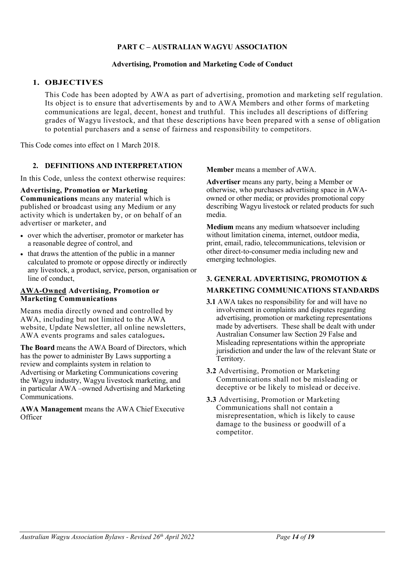## **PART C – AUSTRALIAN WAGYU ASSOCIATION**

## **Advertising, Promotion and Marketing Code of Conduct**

## **1. OBJECTIVES**

This Code has been adopted by AWA as part of advertising, promotion and marketing self regulation. Its object is to ensure that advertisements by and to AWA Members and other forms of marketing communications are legal, decent, honest and truthful. This includes all descriptions of differing grades of Wagyu livestock, and that these descriptions have been prepared with a sense of obligation to potential purchasers and a sense of fairness and responsibility to competitors.

This Code comes into effect on 1 March 2018.

## **2. DEFINITIONS AND INTERPRETATION**

In this Code, unless the context otherwise requires:

## **Advertising, Promotion or Marketing**

**Communications** means any material which is published or broadcast using any Medium or any activity which is undertaken by, or on behalf of an advertiser or marketer, and

- over which the advertiser, promotor or marketer has a reasonable degree of control, and
- that draws the attention of the public in a manner calculated to promote or oppose directly or indirectly any livestock, a product, service, person, organisation or line of conduct,

## **AWA-Owned Advertising, Promotion or Marketing Communications**

Means media directly owned and controlled by AWA, including but not limited to the AWA website, Update Newsletter, all online newsletters, AWA events programs and sales catalogues**.**

**The Board** means the AWA Board of Directors, which has the power to administer By Laws supporting a review and complaints system in relation to Advertising or Marketing Communications covering the Wagyu industry, Wagyu livestock marketing, and in particular AWA –owned Advertising and Marketing Communications.

**AWA Management** means the AWA Chief Executive **Officer** 

**Member** means a member of AWA.

**Advertiser** means any party, being a Member or otherwise, who purchases advertising space in AWAowned or other media; or provides promotional copy describing Wagyu livestock or related products for such media.

**Medium** means any medium whatsoever including without limitation cinema, internet, outdoor media, print, email, radio, telecommunications, television or other direct-to-consumer media including new and emerging technologies.

# **3. GENERAL ADVERTISING, PROMOTION &**

## **MARKETING COMMUNICATIONS STANDARDS**

- **3.1** AWA takes no responsibility for and will have no involvement in complaints and disputes regarding advertising, promotion or marketing representations made by advertisers. These shall be dealt with under Australian Consumer law Section 29 False and Misleading representations within the appropriate jurisdiction and under the law of the relevant State or Territory.
- **3.2** Advertising, Promotion or Marketing Communications shall not be misleading or deceptive or be likely to mislead or deceive.
- **3.3** Advertising, Promotion or Marketing Communications shall not contain a misrepresentation, which is likely to cause damage to the business or goodwill of a competitor.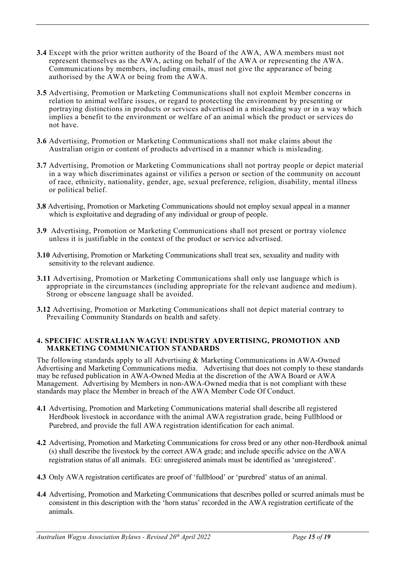- **3.4** Except with the prior written authority of the Board of the AWA, AWA members must not represent themselves as the AWA, acting on behalf of the AWA or representing the AWA. Communications by members, including emails, must not give the appearance of being authorised by the AWA or being from the AWA.
- **3.5** Advertising, Promotion or Marketing Communications shall not exploit Member concerns in relation to animal welfare issues, or regard to protecting the environment by presenting or portraying distinctions in products or services advertised in a misleading way or in a way which implies a benefit to the environment or welfare of an animal which the product or services do not have.
- **3.6** Advertising, Promotion or Marketing Communications shall not make claims about the Australian origin or content of products advertised in a manner which is misleading.
- **3.7** Advertising, Promotion or Marketing Communications shall not portray people or depict material in a way which discriminates against or vilifies a person or section of the community on account of race, ethnicity, nationality, gender, age, sexual preference, religion, disability, mental illness or political belief.
- **3.8** Advertising, Promotion or Marketing Communications should not employ sexual appeal in a manner which is exploitative and degrading of any individual or group of people.
- **3.9** Advertising, Promotion or Marketing Communications shall not present or portray violence unless it is justifiable in the context of the product or service advertised.
- **3.10** Advertising, Promotion or Marketing Communications shall treat sex, sexuality and nudity with sensitivity to the relevant audience.
- **3.11** Advertising, Promotion or Marketing Communications shall only use language which is appropriate in the circumstances (including appropriate for the relevant audience and medium). Strong or obscene language shall be avoided.
- **3.12** Advertising, Promotion or Marketing Communications shall not depict material contrary to Prevailing Community Standards on health and safety.

## **4. SPECIFIC AUSTRALIAN WAGYU INDUSTRY ADVERTISING, PROMOTION AND MARKETING COMMUNICATION STANDARDS**

The following standards apply to all Advertising & Marketing Communications in AWA-Owned Advertising and Marketing Communications media. Advertising that does not comply to these standards may be refused publication in AWA-Owned Media at the discretion of the AWA Board or AWA Management. Advertising by Members in non-AWA-Owned media that is not compliant with these standards may place the Member in breach of the AWA Member Code Of Conduct.

- **4.1** Advertising, Promotion and Marketing Communications material shall describe all registered Herdbook livestock in accordance with the animal AWA registration grade, being Fullblood or Purebred, and provide the full AWA registration identification for each animal.
- **4.2** Advertising, Promotion and Marketing Communications for cross bred or any other non-Herdbook animal (s) shall describe the livestock by the correct AWA grade; and include specific advice on the AWA registration status of all animals. EG: unregistered animals must be identified as 'unregistered'.
- **4.3** Only AWA registration certificates are proof of 'fullblood' or 'purebred' status of an animal.
- **4.4** Advertising, Promotion and Marketing Communications that describes polled or scurred animals must be consistent in this description with the 'horn status' recorded in the AWA registration certificate of the animals.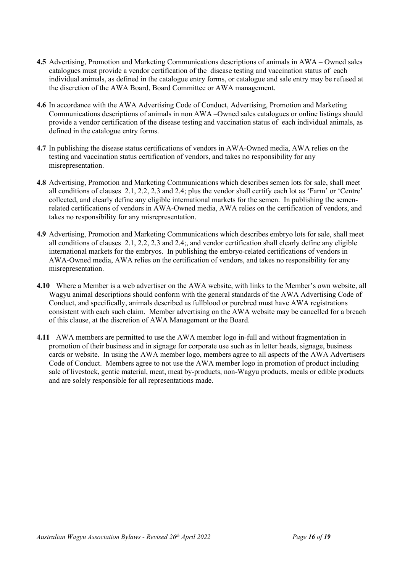- **4.5** Advertising, Promotion and Marketing Communications descriptions of animals in AWA Owned sales catalogues must provide a vendor certification of the disease testing and vaccination status of each individual animals, as defined in the catalogue entry forms, or catalogue and sale entry may be refused at the discretion of the AWA Board, Board Committee or AWA management.
- **4.6** In accordance with the AWA Advertising Code of Conduct, Advertising, Promotion and Marketing Communications descriptions of animals in non AWA –Owned sales catalogues or online listings should provide a vendor certification of the disease testing and vaccination status of each individual animals, as defined in the catalogue entry forms.
- **4.7** In publishing the disease status certifications of vendors in AWA-Owned media, AWA relies on the testing and vaccination status certification of vendors, and takes no responsibility for any misrepresentation.
- **4.8** Advertising, Promotion and Marketing Communications which describes semen lots for sale, shall meet all conditions of clauses 2.1, 2.2, 2.3 and 2.4; plus the vendor shall certify each lot as 'Farm' or 'Centre' collected, and clearly define any eligible international markets for the semen. In publishing the semenrelated certifications of vendors in AWA-Owned media, AWA relies on the certification of vendors, and takes no responsibility for any misrepresentation.
- **4.9** Advertising, Promotion and Marketing Communications which describes embryo lots for sale, shall meet all conditions of clauses 2.1, 2.2, 2.3 and 2.4;, and vendor certification shall clearly define any eligible international markets for the embryos. In publishing the embryo-related certifications of vendors in AWA-Owned media, AWA relies on the certification of vendors, and takes no responsibility for any misrepresentation.
- **4.10** Where a Member is a web advertiser on the AWA website, with links to the Member's own website, all Wagyu animal descriptions should conform with the general standards of the AWA Advertising Code of Conduct, and specifically, animals described as fullblood or purebred must have AWA registrations consistent with each such claim. Member advertising on the AWA website may be cancelled for a breach of this clause, at the discretion of AWA Management or the Board.
- **4.11** AWA members are permitted to use the AWA member logo in-full and without fragmentation in promotion of their business and in signage for corporate use such as in letter heads, signage, business cards or website. In using the AWA member logo, members agree to all aspects of the AWA Advertisers Code of Conduct. Members agree to not use the AWA member logo in promotion of product including sale of livestock, gentic material, meat, meat by-products, non-Wagyu products, meals or edible products and are solely responsible for all representations made.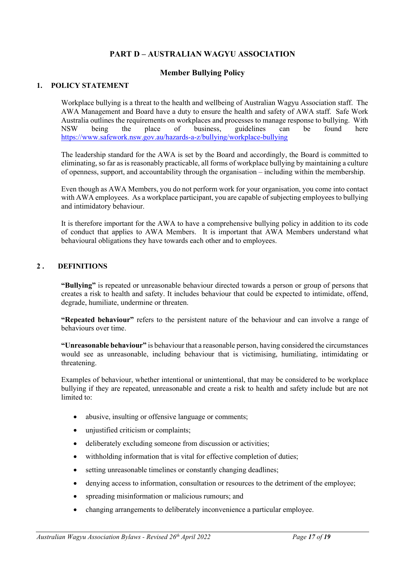# **PART D – AUSTRALIAN WAGYU ASSOCIATION**

## **Member Bullying Policy**

## **1. POLICY STATEMENT**

Workplace bullying is a threat to the health and wellbeing of Australian Wagyu Association staff. The AWA Management and Board have a duty to ensure the health and safety of AWA staff. Safe Work Australia outlines the requirements on workplaces and processes to manage response to bullying. With<br>NSW being the place of business, guidelines can be found here NSW being the place of business, guidelines can be found here <https://www.safework.nsw.gov.au/hazards-a-z/bullying/workplace-bullying>

The leadership standard for the AWA is set by the Board and accordingly, the Board is committed to eliminating, so far as is reasonably practicable, all forms of workplace bullying by maintaining a culture of openness, support, and accountability through the organisation – including within the membership.

Even though as AWA Members, you do not perform work for your organisation, you come into contact with AWA employees. As a workplace participant, you are capable of subjecting employees to bullying and intimidatory behaviour.

It is therefore important for the AWA to have a comprehensive bullying policy in addition to its code of conduct that applies to AWA Members. It is important that AWA Members understand what behavioural obligations they have towards each other and to employees.

## **2 . DEFINITIONS**

**"Bullying"** is repeated or unreasonable behaviour directed towards a person or group of persons that creates a risk to health and safety. It includes behaviour that could be expected to intimidate, offend, degrade, humiliate, undermine or threaten.

**"Repeated behaviour"** refers to the persistent nature of the behaviour and can involve a range of behaviours over time.

**"Unreasonable behaviour"** is behaviour that a reasonable person, having considered the circumstances would see as unreasonable, including behaviour that is victimising, humiliating, intimidating or threatening.

Examples of behaviour, whether intentional or unintentional, that may be considered to be workplace bullying if they are repeated, unreasonable and create a risk to health and safety include but are not limited to:

- abusive, insulting or offensive language or comments;
- unjustified criticism or complaints;
- deliberately excluding someone from discussion or activities;
- withholding information that is vital for effective completion of duties;
- setting unreasonable timelines or constantly changing deadlines;
- denying access to information, consultation or resources to the detriment of the employee;
- spreading misinformation or malicious rumours; and
- changing arrangements to deliberately inconvenience a particular employee.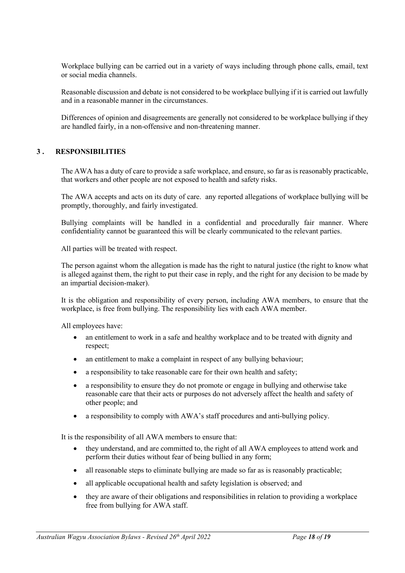Workplace bullying can be carried out in a variety of ways including through phone calls, email, text or social media channels.

Reasonable discussion and debate is not considered to be workplace bullying if it is carried out lawfully and in a reasonable manner in the circumstances.

Differences of opinion and disagreements are generally not considered to be workplace bullying if they are handled fairly, in a non-offensive and non-threatening manner.

## **3 . RESPONSIBILITIES**

The AWA has a duty of care to provide a safe workplace, and ensure, so far as is reasonably practicable, that workers and other people are not exposed to health and safety risks.

The AWA accepts and acts on its duty of care. any reported allegations of workplace bullying will be promptly, thoroughly, and fairly investigated.

Bullying complaints will be handled in a confidential and procedurally fair manner. Where confidentiality cannot be guaranteed this will be clearly communicated to the relevant parties.

All parties will be treated with respect.

The person against whom the allegation is made has the right to natural justice (the right to know what is alleged against them, the right to put their case in reply, and the right for any decision to be made by an impartial decision-maker).

It is the obligation and responsibility of every person, including AWA members, to ensure that the workplace, is free from bullying. The responsibility lies with each AWA member.

All employees have:

- an entitlement to work in a safe and healthy workplace and to be treated with dignity and respect;
- an entitlement to make a complaint in respect of any bullying behaviour;
- a responsibility to take reasonable care for their own health and safety;
- a responsibility to ensure they do not promote or engage in bullying and otherwise take reasonable care that their acts or purposes do not adversely affect the health and safety of other people; and
- a responsibility to comply with AWA's staff procedures and anti-bullying policy.

It is the responsibility of all AWA members to ensure that:

- they understand, and are committed to, the right of all AWA employees to attend work and perform their duties without fear of being bullied in any form;
- all reasonable steps to eliminate bullying are made so far as is reasonably practicable;
- all applicable occupational health and safety legislation is observed; and
- they are aware of their obligations and responsibilities in relation to providing a workplace free from bullying for AWA staff.